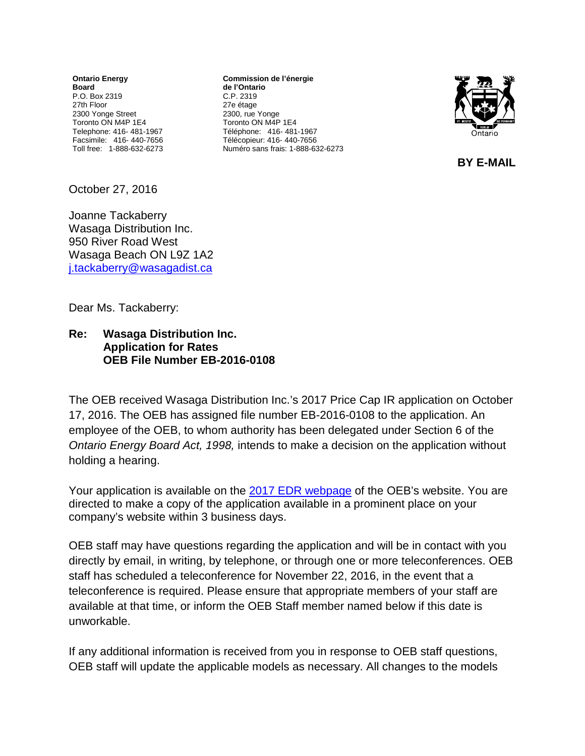**Ontario Energy Board** P.O. Box 2319 27th Floor 2300 Yonge Street Toronto ON M4P 1E4 Telephone: 416- 481-1967 Facsimile: 416- 440-7656 Toll free: 1-888-632-6273

**Commission de l'énergie de l'Ontario** C.P. 2319 27e étage 2300, rue Yonge Toronto ON M4P 1E4 Téléphone: 416- 481-1967 Télécopieur: 416- 440-7656 Numéro sans frais: 1-888-632-6273



 **BY E-MAIL** 

October 27, 2016

Joanne Tackaberry Wasaga Distribution Inc. 950 River Road West Wasaga Beach ON L9Z 1A2 [j.tackaberry@wasagadist.ca](mailto:j.tackaberry@wasagadist.ca)

Dear Ms. Tackaberry:

## **Re: Wasaga Distribution Inc. Application for Rates OEB File Number EB-2016-0108**

The OEB received Wasaga Distribution Inc.'s 2017 Price Cap IR application on October 17, 2016. The OEB has assigned file number EB-2016-0108 to the application. An employee of the OEB, to whom authority has been delegated under Section 6 of the *Ontario Energy Board Act, 1998,* intends to make a decision on the application without holding a hearing.

Your application is available on the 2017 [EDR webpage](http://www.ontarioenergyboard.ca/oeb/Industry/Regulatory%20Proceedings/Applications%20Before%20the%20Board/Electricity%20Distribution%20Rates/2017%20Electricity%20Distribution%20Rate%20Applications) of the OEB's website. You are directed to make a copy of the application available in a prominent place on your company's website within 3 business days.

OEB staff may have questions regarding the application and will be in contact with you directly by email, in writing, by telephone, or through one or more teleconferences. OEB staff has scheduled a teleconference for November 22, 2016, in the event that a teleconference is required. Please ensure that appropriate members of your staff are available at that time, or inform the OEB Staff member named below if this date is unworkable.

If any additional information is received from you in response to OEB staff questions, OEB staff will update the applicable models as necessary. All changes to the models